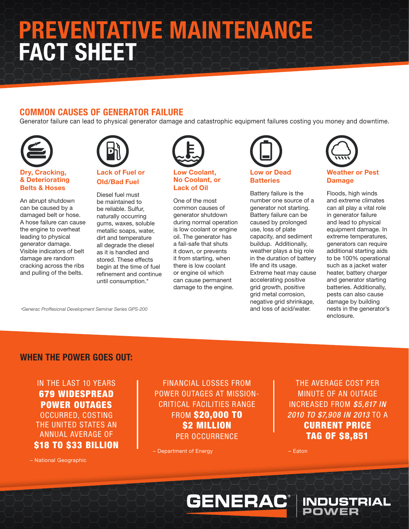# PREVENTATIVE MAINTENANCE FACT SHEET

## COMMON CAUSES OF GENERATOR FAILURE

Generator failure can lead to physical generator damage and catastrophic equipment failures costing you money and downtime.



### Dry, Cracking, & Deteriorating Belts & Hoses

An abrupt shutdown can be caused by a damaged belt or hose. A hose failure can cause the engine to overheat leading to physical generator damage. Visible indicators of belt damage are random cracking across the ribs and pulling of the belts.



## Lack of Fuel or Old/Bad Fuel

Diesel fuel must be maintained to be reliable. Sulfur, naturally occurring gums, waxes, soluble metallic soaps, water, dirt and temperature all degrade the diesel as it is handled and stored. These effects begin at the time of fuel refinement and continue until consumption.\*



#### Low Coolant, No Coolant, or Lack of Oil

One of the most common causes of generator shutdown during normal operation is low coolant or engine oil. The generator has a fail-safe that shuts it down, or prevents it from starting, when there is low coolant or engine oil which can cause permanent damage to the engine.



Battery failure is the number one source of a generator not starting. Battery failure can be caused by prolonged use, loss of plate capacity, and sediment buildup. Additionally, weather plays a big role in the duration of battery life and its usage. Extreme heat may cause accelerating positive grid growth, positive grid metal corrosion, negative grid shrinkage, and loss of acid/water.



Floods, high winds and extreme climates can all play a vital role in generator failure and lead to physical equipment damage. In extreme temperatures, generators can require additional starting aids to be 100% operational such as a jacket water heater, battery charger and generator starting batteries. Additionally, pests can also cause damage by building nests in the generator's enclosure.

*\*Generac Proffesional Development Seminar Series GPS-200*

## WHEN THE POWER GOES OUT:

IN THE LAST 10 YEARS 679 WIDESPREAD POWER OUTAGES OCCURRED, COSTING THE UNITED STATES AN ANNUAL AVERAGE OF **\$18 TO \$33 BILLION** 

FINANCIAL LOSSES FROM POWER OUTAGES AT MISSION-CRITICAL FACILITIES RANGE FROM \$20,000 TO \$2 MILLION PER OCCURRENCE

**GENERAC®** 

– Department of Energy

THE AVERAGE COST PER MINUTE OF AN OUTAGE INCREASED FROM *\$5,617 IN 2010 TO \$7,908 IN 2013* TO A CURRENT PRICE TAG OF \$8,851

**INDUSTRIAL**<br>POWER

– National Geographic

– Eaton